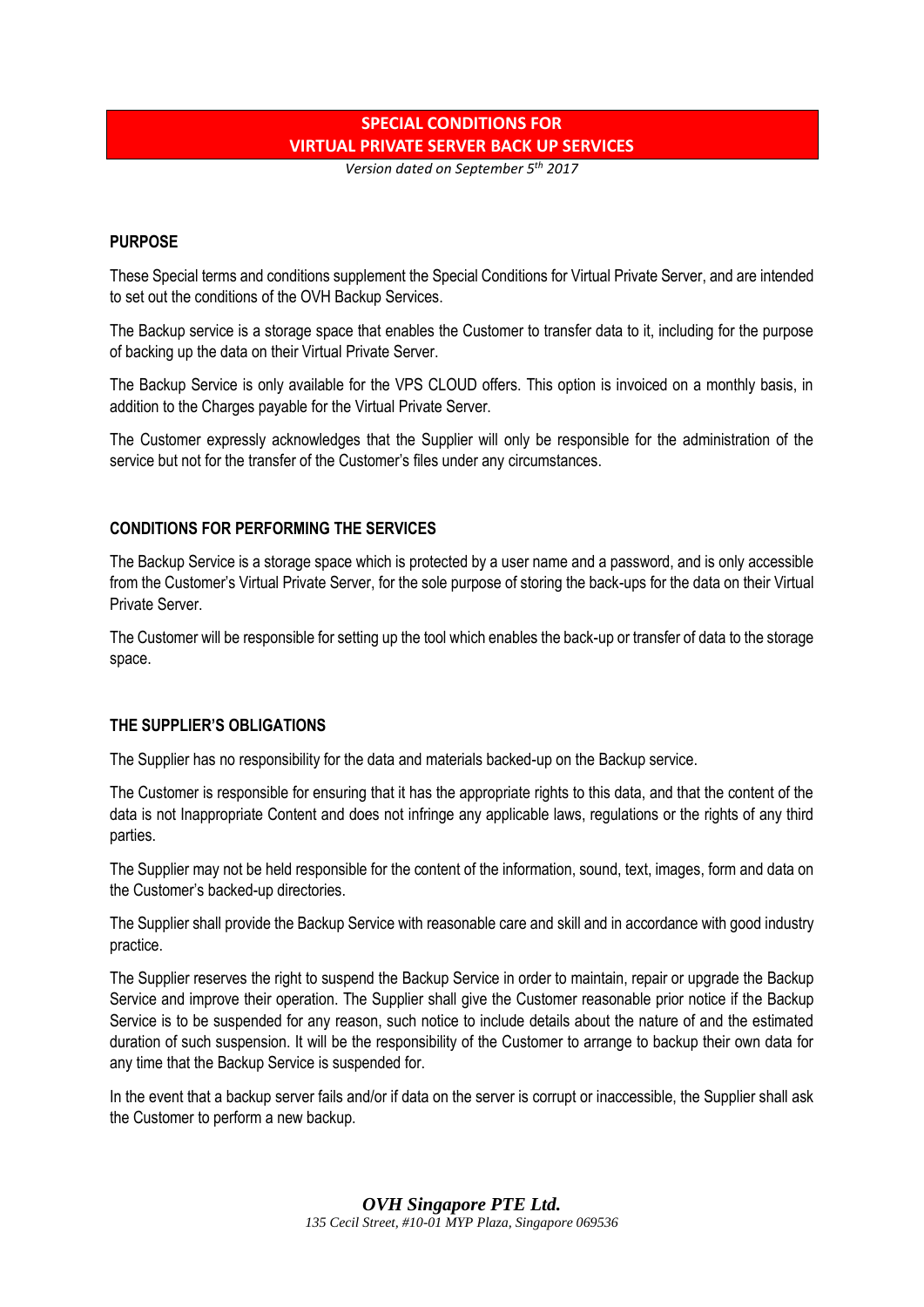# **SPECIAL CONDITIONS FOR VIRTUAL PRIVATE SERVER BACK UP SERVICES**

*Version dated on September 5th 2017*

#### **PURPOSE**

These Special terms and conditions supplement the Special Conditions for Virtual Private Server, and are intended to set out the conditions of the OVH Backup Services.

The Backup service is a storage space that enables the Customer to transfer data to it, including for the purpose of backing up the data on their Virtual Private Server.

The Backup Service is only available for the VPS CLOUD offers. This option is invoiced on a monthly basis, in addition to the Charges payable for the Virtual Private Server.

The Customer expressly acknowledges that the Supplier will only be responsible for the administration of the service but not for the transfer of the Customer's files under any circumstances.

## **CONDITIONS FOR PERFORMING THE SERVICES**

The Backup Service is a storage space which is protected by a user name and a password, and is only accessible from the Customer's Virtual Private Server, for the sole purpose of storing the back-ups for the data on their Virtual Private Server.

The Customer will be responsible for setting up the tool which enables the back-up or transfer of data to the storage space.

#### **THE SUPPLIER'S OBLIGATIONS**

The Supplier has no responsibility for the data and materials backed-up on the Backup service.

The Customer is responsible for ensuring that it has the appropriate rights to this data, and that the content of the data is not Inappropriate Content and does not infringe any applicable laws, regulations or the rights of any third parties.

The Supplier may not be held responsible for the content of the information, sound, text, images, form and data on the Customer's backed-up directories.

The Supplier shall provide the Backup Service with reasonable care and skill and in accordance with good industry practice.

The Supplier reserves the right to suspend the Backup Service in order to maintain, repair or upgrade the Backup Service and improve their operation. The Supplier shall give the Customer reasonable prior notice if the Backup Service is to be suspended for any reason, such notice to include details about the nature of and the estimated duration of such suspension. It will be the responsibility of the Customer to arrange to backup their own data for any time that the Backup Service is suspended for.

In the event that a backup server fails and/or if data on the server is corrupt or inaccessible, the Supplier shall ask the Customer to perform a new backup.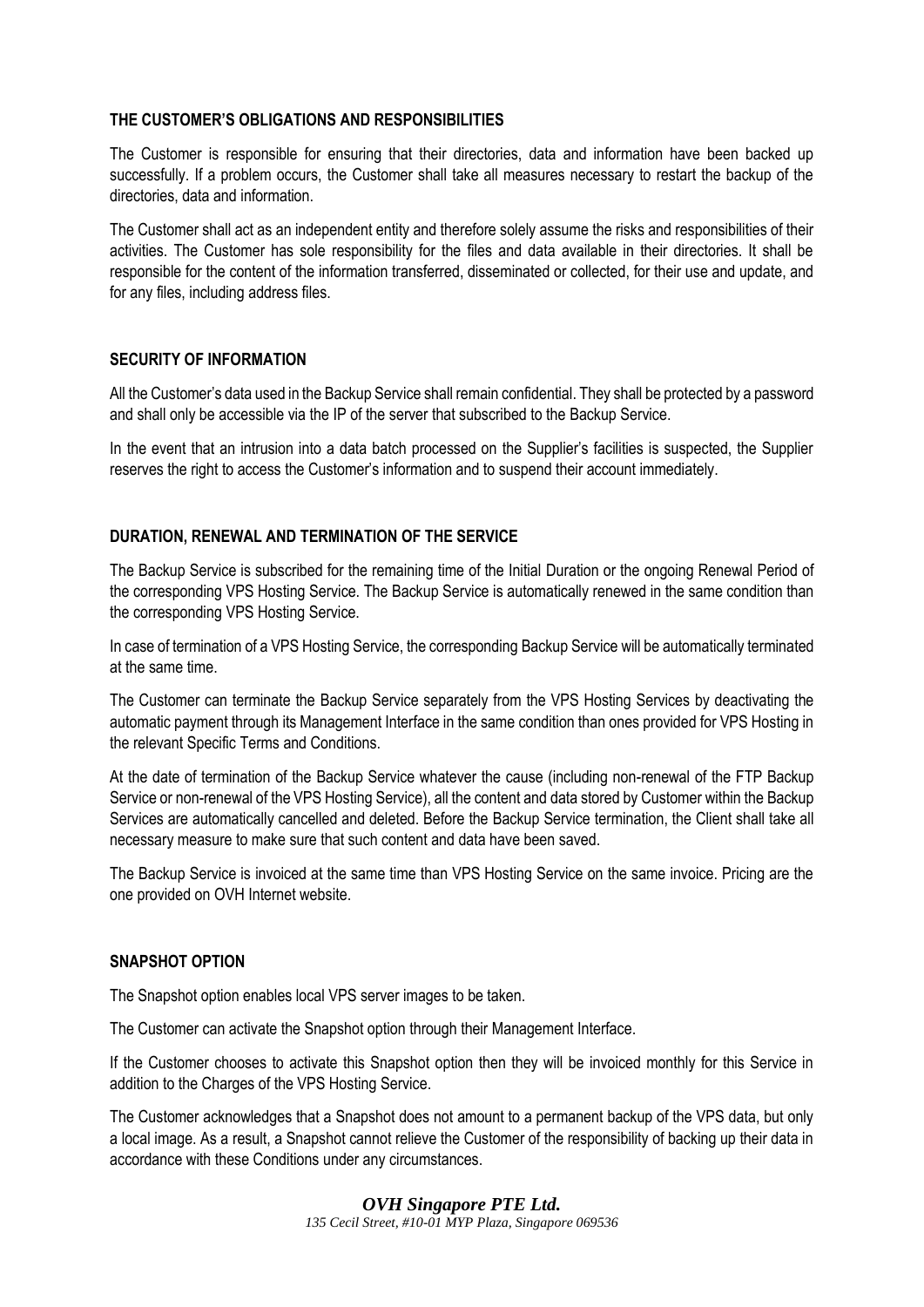## **THE CUSTOMER'S OBLIGATIONS AND RESPONSIBILITIES**

The Customer is responsible for ensuring that their directories, data and information have been backed up successfully. If a problem occurs, the Customer shall take all measures necessary to restart the backup of the directories, data and information.

The Customer shall act as an independent entity and therefore solely assume the risks and responsibilities of their activities. The Customer has sole responsibility for the files and data available in their directories. It shall be responsible for the content of the information transferred, disseminated or collected, for their use and update, and for any files, including address files.

## **SECURITY OF INFORMATION**

All the Customer's data used in the Backup Service shall remain confidential. They shall be protected by a password and shall only be accessible via the IP of the server that subscribed to the Backup Service.

In the event that an intrusion into a data batch processed on the Supplier's facilities is suspected, the Supplier reserves the right to access the Customer's information and to suspend their account immediately.

## **DURATION, RENEWAL AND TERMINATION OF THE SERVICE**

The Backup Service is subscribed for the remaining time of the Initial Duration or the ongoing Renewal Period of the corresponding VPS Hosting Service. The Backup Service is automatically renewed in the same condition than the corresponding VPS Hosting Service.

In case of termination of a VPS Hosting Service, the corresponding Backup Service will be automatically terminated at the same time.

The Customer can terminate the Backup Service separately from the VPS Hosting Services by deactivating the automatic payment through its Management Interface in the same condition than ones provided for VPS Hosting in the relevant Specific Terms and Conditions.

At the date of termination of the Backup Service whatever the cause (including non-renewal of the FTP Backup Service or non-renewal of the VPS Hosting Service), all the content and data stored by Customer within the Backup Services are automatically cancelled and deleted. Before the Backup Service termination, the Client shall take all necessary measure to make sure that such content and data have been saved.

The Backup Service is invoiced at the same time than VPS Hosting Service on the same invoice. Pricing are the one provided on OVH Internet website.

#### **SNAPSHOT OPTION**

The Snapshot option enables local VPS server images to be taken.

The Customer can activate the Snapshot option through their Management Interface.

If the Customer chooses to activate this Snapshot option then they will be invoiced monthly for this Service in addition to the Charges of the VPS Hosting Service.

The Customer acknowledges that a Snapshot does not amount to a permanent backup of the VPS data, but only a local image. As a result, a Snapshot cannot relieve the Customer of the responsibility of backing up their data in accordance with these Conditions under any circumstances.